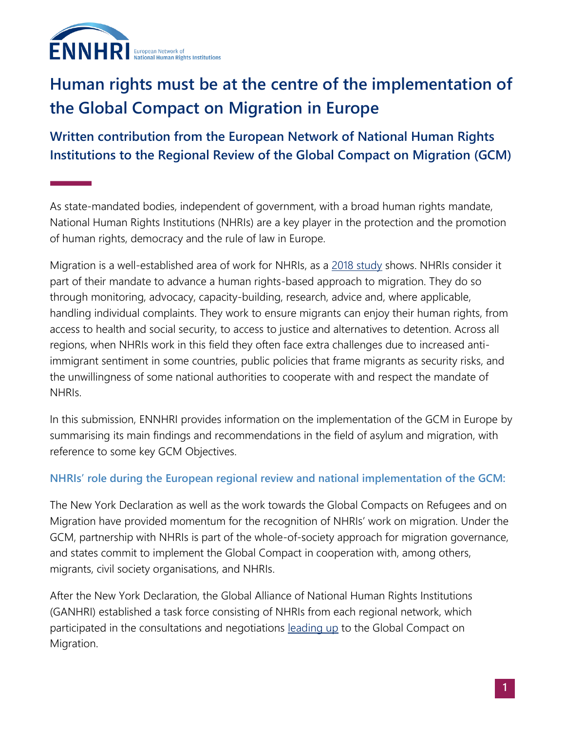

# **Human rights must be at the centre of the implementation of the Global Compact on Migration in Europe**

**Written contribution from the European Network of National Human Rights Institutions to the Regional Review of the Global Compact on Migration (GCM)**

As state-mandated bodies, independent of government, with a broad human rights mandate, National Human Rights Institutions (NHRIs) are a key player in the protection and the promotion of human rights, democracy and the rule of law in Europe.

Migration is a well-established area of work for NHRIs, as a [2018 study](http://ennhri.org/news-and-blog/new-report-highlights-work-of-european-nhris-on-migrants-human-rights/) shows. NHRIs consider it part of their mandate to advance a human rights-based approach to migration. They do so through monitoring, advocacy, capacity-building, research, advice and, where applicable, handling individual complaints. They work to ensure migrants can enjoy their human rights, from access to health and social security, to access to justice and alternatives to detention. Across all regions, when NHRIs work in this field they often face extra challenges due to increased antiimmigrant sentiment in some countries, public policies that frame migrants as security risks, and the unwillingness of some national authorities to cooperate with and respect the mandate of NHRIs.

In this submission, ENNHRI provides information on the implementation of the GCM in Europe by summarising its main findings and recommendations in the field of asylum and migration, with reference to some key GCM Objectives.

## **NHRIs' role during the European regional review and national implementation of the GCM:**

The New York Declaration as well as the work towards the Global Compacts on Refugees and on Migration have provided momentum for the recognition of NHRIs' work on migration. Under the GCM, partnership with NHRIs is part of the whole-of-society approach for migration governance, and states commit to implement the Global Compact in cooperation with, among others, migrants, civil society organisations, and NHRIs.

After the New York Declaration, the Global Alliance of National Human Rights Institutions (GANHRI) established a task force consisting of NHRIs from each regional network, which participated in the consultations and negotiations [leading up](https://nhri.ohchr.org/EN/AboutUs/GANHRIAnnualReports/Documents/GANHRI_Annual%20Report_2018_LQ.pdf) to the Global Compact on Migration.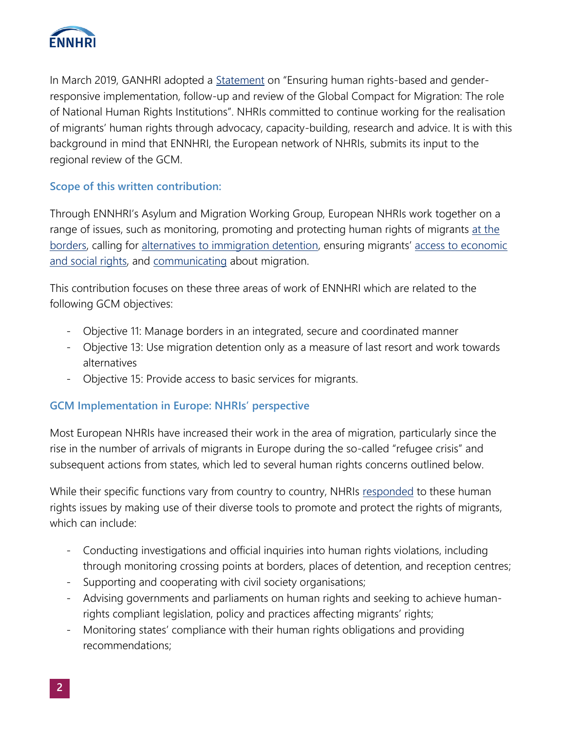

In March 2019, GANHRI adopted a [Statement](https://nhri.ohchr.org/EN/ICC/GeneralMeeting/2019/Pages/GANHRI%20Annual%20Conference.aspx) on "Ensuring human rights-based and genderresponsive implementation, follow-up and review of the Global Compact for Migration: The role of National Human Rights Institutions". NHRIs committed to continue working for the realisation of migrants' human rights through advocacy, capacity-building, research and advice. It is with this background in mind that ENNHRI, the European network of NHRIs, submits its input to the regional review of the GCM.

## **Scope of this written contribution:**

Through ENNHRI's Asylum and Migration Working Group, European NHRIs work together on a range of issues, such as monitoring, promoting and protecting human rights of migrants at the [borders,](http://ennhri.org/wp-content/uploads/2020/03/Protecting-human-rights-of-migrants-at-the-borders-Evidence-and-work-of-European-NHRIs-December-2019-1.pdf) calling for [alternatives to immigration detention](http://ennhri.org/news-and-blog/ennhri-comments-on-council-of-europes-draft-practical-guidance-on-alternatives-to-immigration-detention/), ensuring migrants' [access to economic](http://ennhri.org/news-and-blog/new-ennhri-report-showcases-good-practices-of-european-nhris-in-advancing-economic-and-social-rights-of-migrants/)  [and social rights,](http://ennhri.org/news-and-blog/new-ennhri-report-showcases-good-practices-of-european-nhris-in-advancing-economic-and-social-rights-of-migrants/) and [communicating](http://ennhri.org/news-and-blog/good-practices-and-strategies-for-nhris-communicating-about-asylum-and-migration/) about migration.

This contribution focuses on these three areas of work of ENNHRI which are related to the following GCM objectives:

- Objective 11: Manage borders in an integrated, secure and coordinated manner
- Objective 13: Use migration detention only as a measure of last resort and work towards alternatives
- Objective 15: Provide access to basic services for migrants.

## **GCM Implementation in Europe: NHRIs' perspective**

Most European NHRIs have increased their work in the area of migration, particularly since the rise in the number of arrivals of migrants in Europe during the so-called "refugee crisis" and subsequent actions from states, which led to several human rights concerns outlined below.

While their specific functions vary from country to country, NHRIs [responded](http://ennhri.org/wp-content/uploads/2020/03/Protecting-human-rights-of-migrants-at-the-borders-Evidence-and-work-of-European-NHRIs-December-2019-1.pdf) to these human rights issues by making use of their diverse tools to promote and protect the rights of migrants, which can include:

- Conducting investigations and official inquiries into human rights violations, including through monitoring crossing points at borders, places of detention, and reception centres;
- Supporting and cooperating with civil society organisations;
- Advising governments and parliaments on human rights and seeking to achieve humanrights compliant legislation, policy and practices affecting migrants' rights;
- Monitoring states' compliance with their human rights obligations and providing recommendations;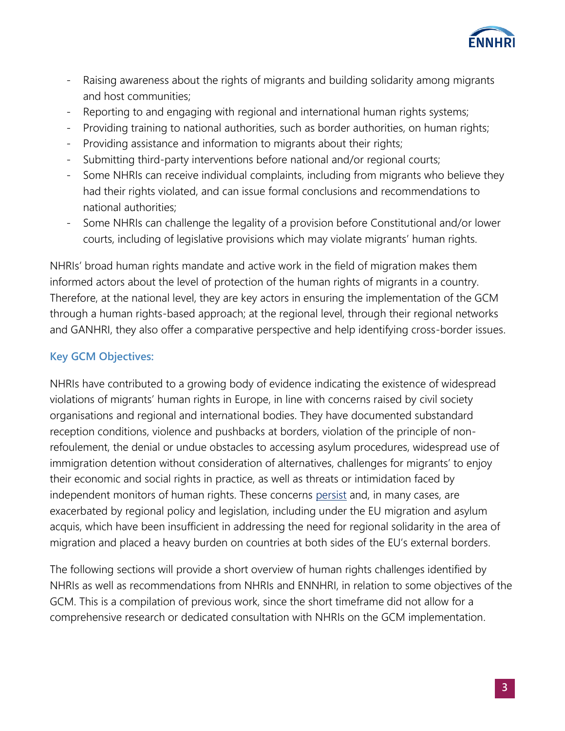

- Raising awareness about the rights of migrants and building solidarity among migrants and host communities;
- Reporting to and engaging with regional and international human rights systems;
- Providing training to national authorities, such as border authorities, on human rights;
- Providing assistance and information to migrants about their rights;
- Submitting third-party interventions before national and/or regional courts;
- Some NHRIs can receive individual complaints, including from migrants who believe they had their rights violated, and can issue formal conclusions and recommendations to national authorities;
- Some NHRIs can challenge the legality of a provision before Constitutional and/or lower courts, including of legislative provisions which may violate migrants' human rights.

NHRIs' broad human rights mandate and active work in the field of migration makes them informed actors about the level of protection of the human rights of migrants in a country. Therefore, at the national level, they are key actors in ensuring the implementation of the GCM through a human rights-based approach; at the regional level, through their regional networks and GANHRI, they also offer a comparative perspective and help identifying cross-border issues.

## **Key GCM Objectives:**

NHRIs have contributed to a growing body of evidence indicating the existence of widespread violations of migrants' human rights in Europe, in line with concerns raised by civil society organisations and regional and international bodies. They have documented substandard reception conditions, violence and pushbacks at borders, violation of the principle of nonrefoulement, the denial or undue obstacles to accessing asylum procedures, widespread use of immigration detention without consideration of alternatives, challenges for migrants' to enjoy their economic and social rights in practice, as well as threats or intimidation faced by independent monitors of human rights. These concerns [persist](http://ennhri.org/news-and-blog/nhris-issue-statement-on-the-situation-at-eu-external-borders-and-european-asylum-policy/) and, in many cases, are exacerbated by regional policy and legislation, including under the EU migration and asylum acquis, which have been insufficient in addressing the need for regional solidarity in the area of migration and placed a heavy burden on countries at both sides of the EU's external borders.

The following sections will provide a short overview of human rights challenges identified by NHRIs as well as recommendations from NHRIs and ENNHRI, in relation to some objectives of the GCM. This is a compilation of previous work, since the short timeframe did not allow for a comprehensive research or dedicated consultation with NHRIs on the GCM implementation.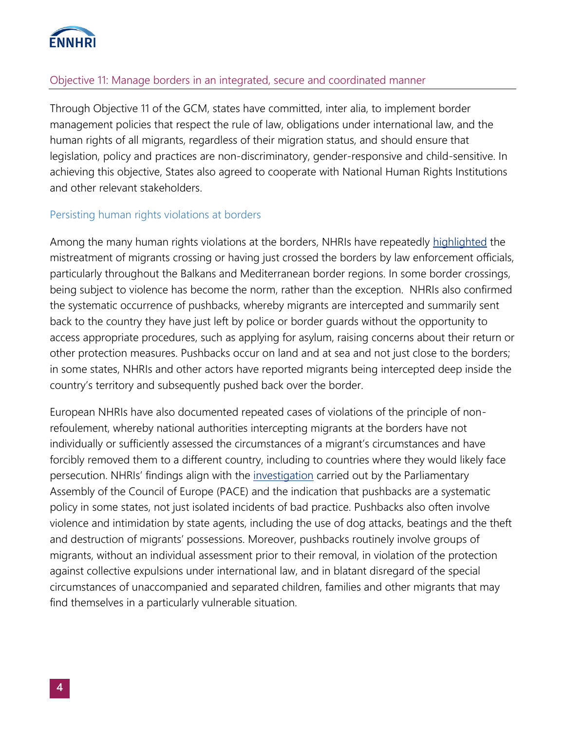

## Objective 11: Manage borders in an integrated, secure and coordinated manner

Through Objective 11 of the GCM, states have committed, inter alia, to implement border management policies that respect the rule of law, obligations under international law, and the human rights of all migrants, regardless of their migration status, and should ensure that legislation, policy and practices are non-discriminatory, gender-responsive and child-sensitive. In achieving this objective, States also agreed to cooperate with National Human Rights Institutions and other relevant stakeholders.

#### Persisting human rights violations at borders

Among the many human rights violations at the borders, NHRIs have repeatedly [highlighted](http://ennhri.org/wp-content/uploads/2020/03/Protecting-human-rights-of-migrants-at-the-borders-Evidence-and-work-of-European-NHRIs-December-2019-1.pdf) the mistreatment of migrants crossing or having just crossed the borders by law enforcement officials, particularly throughout the Balkans and Mediterranean border regions. In some border crossings, being subject to violence has become the norm, rather than the exception. NHRIs also confirmed the systematic occurrence of pushbacks, whereby migrants are intercepted and summarily sent back to the country they have just left by police or border guards without the opportunity to access appropriate procedures, such as applying for asylum, raising concerns about their return or other protection measures. Pushbacks occur on land and at sea and not just close to the borders; in some states, NHRIs and other actors have reported migrants being intercepted deep inside the country's territory and subsequently pushed back over the border.

European NHRIs have also documented repeated cases of violations of the principle of nonrefoulement, whereby national authorities intercepting migrants at the borders have not individually or sufficiently assessed the circumstances of a migrant's circumstances and have forcibly removed them to a different country, including to countries where they would likely face persecution. NHRIs' findings align with the [investigation](https://pace.coe.int/en/files/27728) carried out by the Parliamentary Assembly of the Council of Europe (PACE) and the indication that pushbacks are a systematic policy in some states, not just isolated incidents of bad practice. Pushbacks also often involve violence and intimidation by state agents, including the use of dog attacks, beatings and the theft and destruction of migrants' possessions. Moreover, pushbacks routinely involve groups of migrants, without an individual assessment prior to their removal, in violation of the protection against collective expulsions under international law, and in blatant disregard of the special circumstances of unaccompanied and separated children, families and other migrants that may find themselves in a particularly vulnerable situation.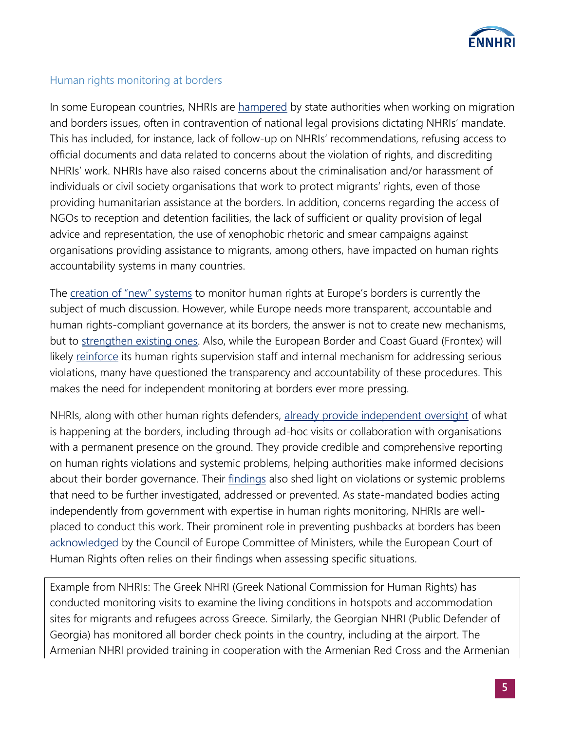

## Human rights monitoring at borders

In some European countries, NHRIs are [hampered](http://ennhri.org/wp-content/uploads/2020/03/Protecting-human-rights-of-migrants-at-the-borders-Evidence-and-work-of-European-NHRIs-December-2019-1.pdf) by state authorities when working on migration and borders issues, often in contravention of national legal provisions dictating NHRIs' mandate. This has included, for instance, lack of follow-up on NHRIs' recommendations, refusing access to official documents and data related to concerns about the violation of rights, and discrediting NHRIs' work. NHRIs have also raised concerns about the criminalisation and/or harassment of individuals or civil society organisations that work to protect migrants' rights, even of those providing humanitarian assistance at the borders. In addition, concerns regarding the access of NGOs to reception and detention facilities, the lack of sufficient or quality provision of legal advice and representation, the use of xenophobic rhetoric and smear campaigns against organisations providing assistance to migrants, among others, have impacted on human rights accountability systems in many countries.

The [creation of "new" systems](https://eur-lex.europa.eu/legal-content/EN/TXT/?qid=1601291190831&uri=COM:2020:612:FIN) to monitor human rights at Europe's borders is currently the subject of much discussion. However, while Europe needs more transparent, accountable and human rights-compliant governance at its borders, the answer is not to create new mechanisms, but to [strengthen existing ones.](http://ennhri.org/our-work/topics/asylum-and-migration/stronger-human-rights-monitoring-at-europes-borders-why-nhris-are-part-of-the-solution/) Also, while the European Border and Coast Guard (Frontex) will likely [reinforce](https://frontex.europa.eu/media-centre/news-release/new-frontex-regulation-comes-into-force-S0luwe) its human rights supervision staff and internal mechanism for addressing serious violations, many have questioned the transparency and accountability of these procedures. This makes the need for independent monitoring at borders ever more pressing.

NHRIs, along with other human rights defenders, [already provide independent oversight](http://ennhri.org/our-work/topics/asylum-and-migration/stronger-human-rights-monitoring-at-europes-borders-why-nhris-are-part-of-the-solution/) of what is happening at the borders, including through ad-hoc visits or collaboration with organisations with a permanent presence on the ground. They provide credible and comprehensive reporting on human rights violations and systemic problems, helping authorities make informed decisions about their border governance. Their [findings](http://ennhri.org/news-and-blog/new-paper-outlines-how-european-nhris-promote-and-protect-human-rights-of-migrants-at-borders/) also shed light on violations or systemic problems that need to be further investigated, addressed or prevented. As state-mandated bodies acting independently from government with expertise in human rights monitoring, NHRIs are wellplaced to conduct this work. Their prominent role in preventing pushbacks at borders has been [acknowledged](https://search.coe.int/cm/Pages/result_details.aspx?ObjectId=09000016809c57ec) by the Council of Europe Committee of Ministers, while the European Court of Human Rights often relies on their findings when assessing specific situations.

Example from NHRIs: The Greek NHRI (Greek National Commission for Human Rights) has conducted monitoring visits to examine the living conditions in hotspots and accommodation sites for migrants and refugees across Greece. Similarly, the Georgian NHRI (Public Defender of Georgia) has monitored all border check points in the country, including at the airport. The Armenian NHRI provided training in cooperation with the Armenian Red Cross and the Armenian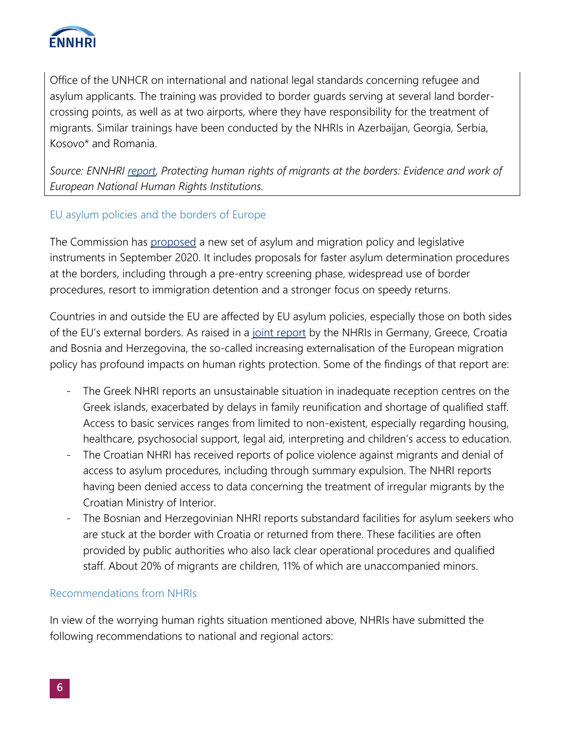

Office of the UNHCR on international and national legal standards concerning refugee and asylum applicants. The training was provided to border guards serving at several land bordercrossing points, as well as at two airports, where they have responsibility for the treatment of migrants. Similar trainings have been conducted by the NHRIs in Azerbaijan, Georgia, Serbia, Kosovo\* and Romania.

*Source: ENNHRI [report,](http://ennhri.org/wp-content/uploads/2020/03/Protecting-human-rights-of-migrants-at-the-borders-Evidence-and-work-of-European-NHRIs-December-2019-1.pdf) Protecting human rights of migrants at the borders: Evidence and work of European National Human Rights Institutions.*

## EU asylum policies and the borders of Europe

The Commission has [proposed](https://ec.europa.eu/info/strategy/priorities-2019-2024/promoting-our-european-way-life/new-pact-migration-and-asylum_en) a new set of asylum and migration policy and legislative instruments in September 2020. It includes proposals for faster asylum determination procedures at the borders, including through a pre-entry screening phase, widespread use of border procedures, resort to immigration detention and a stronger focus on speedy returns.

Countries in and outside the EU are affected by EU asylum policies, especially those on both sides of the EU's external borders. As raised in a [joint report](http://ennhri.org/news-and-blog/nhris-issue-statement-on-the-situation-at-eu-external-borders-and-european-asylum-policy/) by the NHRIs in Germany, Greece, Croatia and Bosnia and Herzegovina, the so-called increasing externalisation of the European migration policy has profound impacts on human rights protection. Some of the findings of that report are:

- The Greek NHRI reports an unsustainable situation in inadequate reception centres on the Greek islands, exacerbated by delays in family reunification and shortage of qualified staff. Access to basic services ranges from limited to non-existent, especially regarding housing, healthcare, psychosocial support, legal aid, interpreting and children's access to education.
- The Croatian NHRI has received reports of police violence against migrants and denial of access to asylum procedures, including through summary expulsion. The NHRI reports having been denied access to data concerning the treatment of irregular migrants by the Croatian Ministry of Interior.
- The Bosnian and Herzegovinian NHRI reports substandard facilities for asylum seekers who are stuck at the border with Croatia or returned from there. These facilities are often provided by public authorities who also lack clear operational procedures and qualified staff. About 20% of migrants are children, 11% of which are unaccompanied minors.

## Recommendations from NHRIs

In view of the worrying human rights situation mentioned above, NHRIs have submitted the following recommendations to national and regional actors: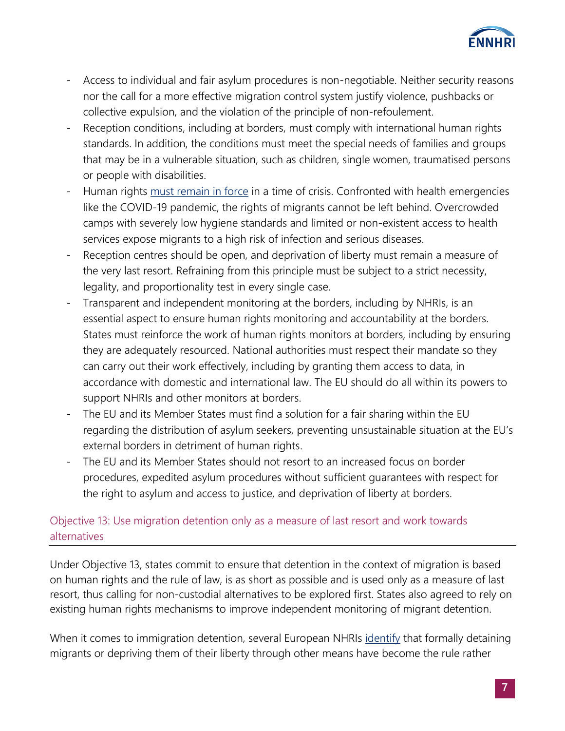

- Access to individual and fair asylum procedures is non-negotiable. Neither security reasons nor the call for a more effective migration control system justify violence, pushbacks or collective expulsion, and the violation of the principle of non-refoulement.
- Reception conditions, including at borders, must comply with international human rights standards. In addition, the conditions must meet the special needs of families and groups that may be in a vulnerable situation, such as children, single women, traumatised persons or people with disabilities.
- Human rights [must remain in force](http://ennhri.org/statement-on-covid-19/) in a time of crisis. Confronted with health emergencies like the COVID-19 pandemic, the rights of migrants cannot be left behind. Overcrowded camps with severely low hygiene standards and limited or non-existent access to health services expose migrants to a high risk of infection and serious diseases.
- Reception centres should be open, and deprivation of liberty must remain a measure of the very last resort. Refraining from this principle must be subject to a strict necessity, legality, and proportionality test in every single case.
- Transparent and independent monitoring at the borders, including by NHRIs, is an essential aspect to ensure human rights monitoring and accountability at the borders. States must reinforce the work of human rights monitors at borders, including by ensuring they are adequately resourced. National authorities must respect their mandate so they can carry out their work effectively, including by granting them access to data, in accordance with domestic and international law. The EU should do all within its powers to support NHRIs and other monitors at borders.
- The EU and its Member States must find a solution for a fair sharing within the EU regarding the distribution of asylum seekers, preventing unsustainable situation at the EU's external borders in detriment of human rights.
- The EU and its Member States should not resort to an increased focus on border procedures, expedited asylum procedures without sufficient guarantees with respect for the right to asylum and access to justice, and deprivation of liberty at borders.

## Objective 13: Use migration detention only as a measure of last resort and work towards alternatives

Under Objective 13, states commit to ensure that detention in the context of migration is based on human rights and the rule of law, is as short as possible and is used only as a measure of last resort, thus calling for non-custodial alternatives to be explored first. States also agreed to rely on existing human rights mechanisms to improve independent monitoring of migrant detention.

When it comes to immigration detention, several European NHRIs [identify](http://ennhri.org/wp-content/uploads/2020/03/Protecting-human-rights-of-migrants-at-the-borders-Evidence-and-work-of-European-NHRIs-December-2019-1.pdf) that formally detaining migrants or depriving them of their liberty through other means have become the rule rather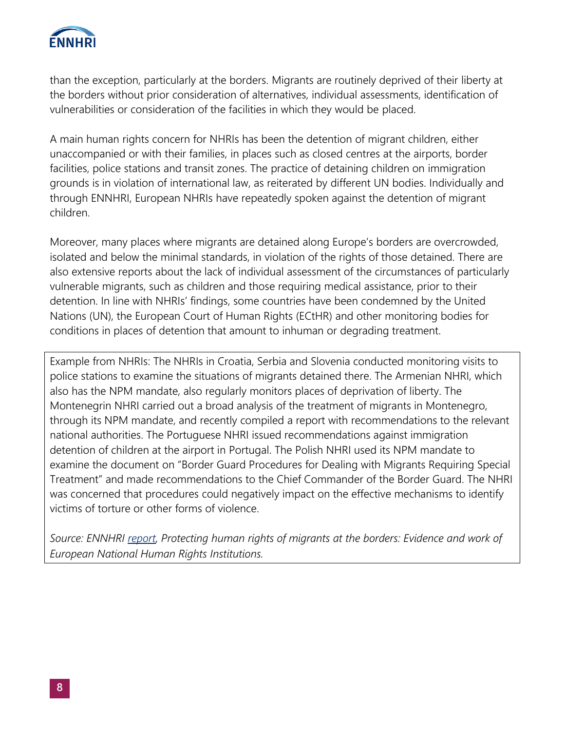

than the exception, particularly at the borders. Migrants are routinely deprived of their liberty at the borders without prior consideration of alternatives, individual assessments, identification of vulnerabilities or consideration of the facilities in which they would be placed.

A main human rights concern for NHRIs has been the detention of migrant children, either unaccompanied or with their families, in places such as closed centres at the airports, border facilities, police stations and transit zones. The practice of detaining children on immigration grounds is in violation of international law, as reiterated by different UN bodies. Individually and through ENNHRI, European NHRIs have repeatedly spoken against the detention of migrant children.

Moreover, many places where migrants are detained along Europe's borders are overcrowded, isolated and below the minimal standards, in violation of the rights of those detained. There are also extensive reports about the lack of individual assessment of the circumstances of particularly vulnerable migrants, such as children and those requiring medical assistance, prior to their detention. In line with NHRIs' findings, some countries have been condemned by the United Nations (UN), the European Court of Human Rights (ECtHR) and other monitoring bodies for conditions in places of detention that amount to inhuman or degrading treatment.

Example from NHRIs: The NHRIs in Croatia, Serbia and Slovenia conducted monitoring visits to police stations to examine the situations of migrants detained there. The Armenian NHRI, which also has the NPM mandate, also regularly monitors places of deprivation of liberty. The Montenegrin NHRI carried out a broad analysis of the treatment of migrants in Montenegro, through its NPM mandate, and recently compiled a report with recommendations to the relevant national authorities. The Portuguese NHRI issued recommendations against immigration detention of children at the airport in Portugal. The Polish NHRI used its NPM mandate to examine the document on "Border Guard Procedures for Dealing with Migrants Requiring Special Treatment" and made recommendations to the Chief Commander of the Border Guard. The NHRI was concerned that procedures could negatively impact on the effective mechanisms to identify victims of torture or other forms of violence.

*Source: ENNHRI [report,](http://ennhri.org/wp-content/uploads/2020/03/Protecting-human-rights-of-migrants-at-the-borders-Evidence-and-work-of-European-NHRIs-December-2019-1.pdf) Protecting human rights of migrants at the borders: Evidence and work of European National Human Rights Institutions.*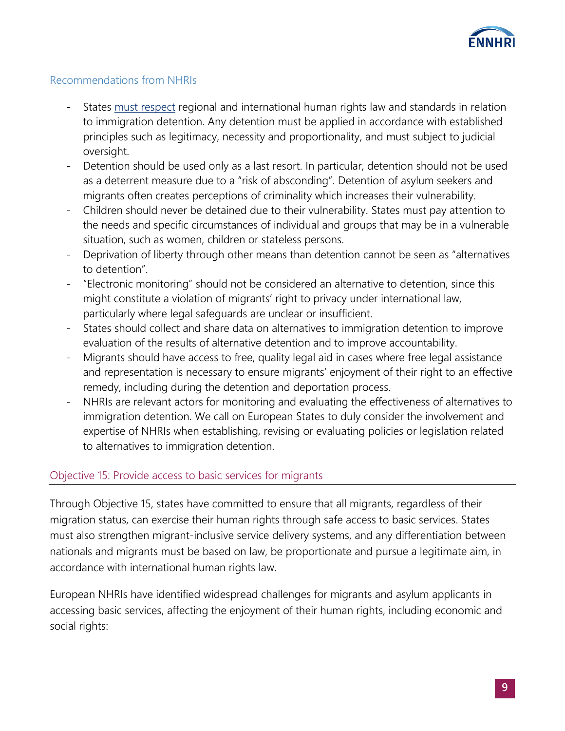

## Recommendations from NHRIs

- States [must respect](http://ennhri.org/wp-content/uploads/2019/10/ennhri_comments_on_guidance_on_alternatives_to_detention_06032019.pdf) regional and international human rights law and standards in relation to immigration detention. Any detention must be applied in accordance with established principles such as legitimacy, necessity and proportionality, and must subject to judicial oversight.
- Detention should be used only as a last resort. In particular, detention should not be used as a deterrent measure due to a "risk of absconding". Detention of asylum seekers and migrants often creates perceptions of criminality which increases their vulnerability.
- Children should never be detained due to their vulnerability. States must pay attention to the needs and specific circumstances of individual and groups that may be in a vulnerable situation, such as women, children or stateless persons.
- Deprivation of liberty through other means than detention cannot be seen as "alternatives to detention".
- "Electronic monitoring" should not be considered an alternative to detention, since this might constitute a violation of migrants' right to privacy under international law, particularly where legal safeguards are unclear or insufficient.
- States should collect and share data on alternatives to immigration detention to improve evaluation of the results of alternative detention and to improve accountability.
- Migrants should have access to free, quality legal aid in cases where free legal assistance and representation is necessary to ensure migrants' enjoyment of their right to an effective remedy, including during the detention and deportation process.
- NHRIs are relevant actors for monitoring and evaluating the effectiveness of alternatives to immigration detention. We call on European States to duly consider the involvement and expertise of NHRIs when establishing, revising or evaluating policies or legislation related to alternatives to immigration detention.

## Objective 15: Provide access to basic services for migrants

Through Objective 15, states have committed to ensure that all migrants, regardless of their migration status, can exercise their human rights through safe access to basic services. States must also strengthen migrant-inclusive service delivery systems, and any differentiation between nationals and migrants must be based on law, be proportionate and pursue a legitimate aim, in accordance with international human rights law.

European NHRIs have identified widespread challenges for migrants and asylum applicants in accessing basic services, affecting the enjoyment of their human rights, including economic and social rights: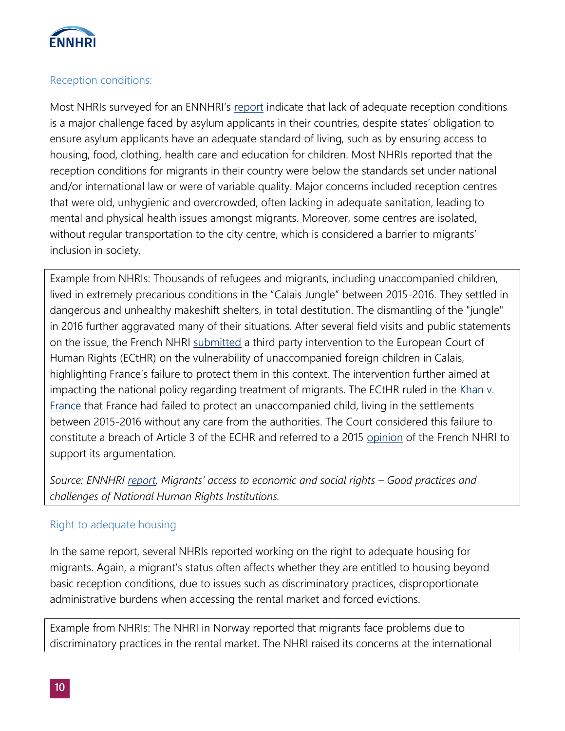

## Reception conditions:

Most NHRIs surveyed for an ENNHRI's [report](http://ennhri.org/wp-content/uploads/2019/11/Migrants%E2%80%99-access-to-economic-and-social-rights-Good-Practices-and-challenges-of-NHRIs.pdf) indicate that lack of adequate reception conditions is a major challenge faced by asylum applicants in their countries, despite states' obligation to ensure asylum applicants have an adequate standard of living, such as by ensuring access to housing, food, clothing, health care and education for children. Most NHRIs reported that the reception conditions for migrants in their country were below the standards set under national and/or international law or were of variable quality. Major concerns included reception centres that were old, unhygienic and overcrowded, often lacking in adequate sanitation, leading to mental and physical health issues amongst migrants. Moreover, some centres are isolated, without regular transportation to the city centre, which is considered a barrier to migrants' inclusion in society.

Example from NHRIs: Thousands of refugees and migrants, including unaccompanied children, lived in extremely precarious conditions in the "Calais Jungle" between 2015-2016. They settled in dangerous and unhealthy makeshift shelters, in total destitution. The dismantling of the "jungle" in 2016 further aggravated many of their situations. After several field visits and public statements on the issue, the French NHRI [submitted](https://www.cncdh.fr/sites/default/files/ti_de_la_cncdh_affaire_kahn_c._france.pdf) a third party intervention to the European Court of Human Rights (ECtHR) on the vulnerability of unaccompanied foreign children in Calais, highlighting France's failure to protect them in this context. The intervention further aimed at impacting the national policy regarding treatment of migrants. The ECtHR ruled in the Khan v. [France](http://hudoc.echr.coe.int/eng?i=001-191587) that France had failed to protect an unaccompanied child, living in the settlements between 2015-2016 without any care from the authorities. The Court considered this failure to constitute a breach of Article 3 of the ECHR and referred to a 2015 [opinion](https://www.cncdh.fr/fr/actualite/avis-sur-la-situation-des-migrants-calais-et-dans-le-calaisis) of the French NHRI to support its argumentation.

*Source: ENNHRI [report,](http://ennhri.org/wp-content/uploads/2019/11/Migrants%E2%80%99-access-to-economic-and-social-rights-Good-Practices-and-challenges-of-NHRIs.pdf) Migrants' access to economic and social rights – Good practices and challenges of National Human Rights Institutions.*

## Right to adequate housing

In the same report, several NHRIs reported working on the right to adequate housing for migrants. Again, a migrant's status often affects whether they are entitled to housing beyond basic reception conditions, due to issues such as discriminatory practices, disproportionate administrative burdens when accessing the rental market and forced evictions.

Example from NHRIs: The NHRI in Norway reported that migrants face problems due to discriminatory practices in the rental market. The NHRI raised its concerns at the international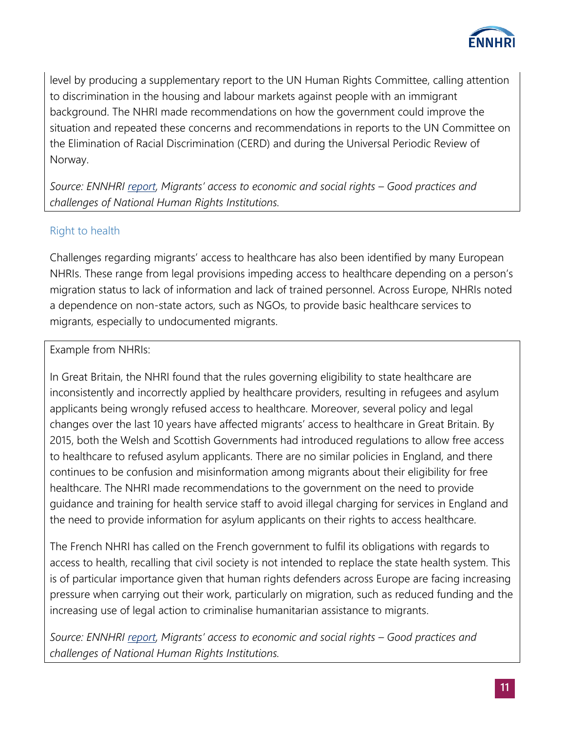

level by producing a supplementary report to the UN Human Rights Committee, calling attention to discrimination in the housing and labour markets against people with an immigrant background. The NHRI made recommendations on how the government could improve the situation and repeated these concerns and recommendations in reports to the UN Committee on the Elimination of Racial Discrimination (CERD) and during the Universal Periodic Review of Norway.

*Source: ENNHRI [report](http://ennhri.org/wp-content/uploads/2019/11/Migrants%E2%80%99-access-to-economic-and-social-rights-Good-Practices-and-challenges-of-NHRIs.pdf), Migrants' access to economic and social rights – Good practices and challenges of National Human Rights Institutions.*

## Right to health

Challenges regarding migrants' access to healthcare has also been identified by many European NHRIs. These range from legal provisions impeding access to healthcare depending on a person's migration status to lack of information and lack of trained personnel. Across Europe, NHRIs noted a dependence on non-state actors, such as NGOs, to provide basic healthcare services to migrants, especially to undocumented migrants.

## Example from NHRIs:

In Great Britain, the NHRI found that the rules governing eligibility to state healthcare are inconsistently and incorrectly applied by healthcare providers, resulting in refugees and asylum applicants being wrongly refused access to healthcare. Moreover, several policy and legal changes over the last 10 years have affected migrants' access to healthcare in Great Britain. By 2015, both the Welsh and Scottish Governments had introduced regulations to allow free access to healthcare to refused asylum applicants. There are no similar policies in England, and there continues to be confusion and misinformation among migrants about their eligibility for free healthcare. The NHRI made recommendations to the government on the need to provide guidance and training for health service staff to avoid illegal charging for services in England and the need to provide information for asylum applicants on their rights to access healthcare.

The French NHRI has called on the French government to fulfil its obligations with regards to access to health, recalling that civil society is not intended to replace the state health system. This is of particular importance given that human rights defenders across Europe are facing increasing pressure when carrying out their work, particularly on migration, such as reduced funding and the increasing use of legal action to criminalise humanitarian assistance to migrants.

*Source: ENNHRI [report](http://ennhri.org/wp-content/uploads/2019/11/Migrants%E2%80%99-access-to-economic-and-social-rights-Good-Practices-and-challenges-of-NHRIs.pdf), Migrants' access to economic and social rights – Good practices and challenges of National Human Rights Institutions.*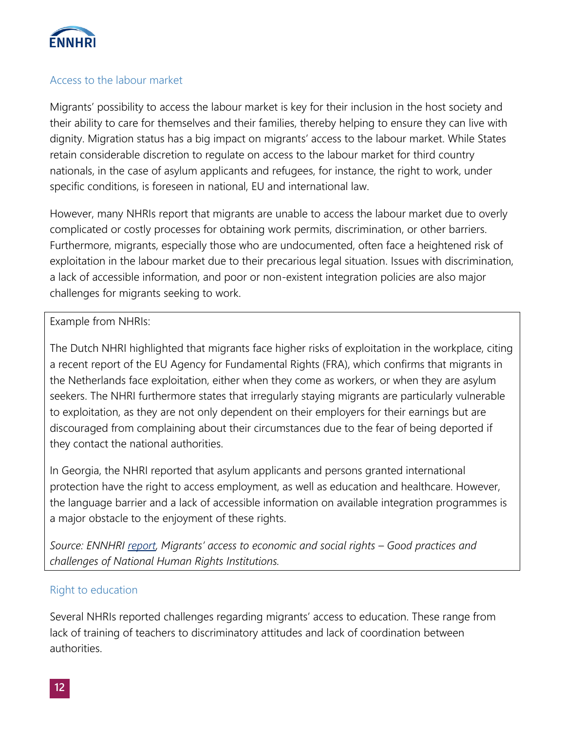

#### Access to the labour market

Migrants' possibility to access the labour market is key for their inclusion in the host society and their ability to care for themselves and their families, thereby helping to ensure they can live with dignity. Migration status has a big impact on migrants' access to the labour market. While States retain considerable discretion to regulate on access to the labour market for third country nationals, in the case of asylum applicants and refugees, for instance, the right to work, under specific conditions, is foreseen in national, EU and international law.

However, many NHRIs report that migrants are unable to access the labour market due to overly complicated or costly processes for obtaining work permits, discrimination, or other barriers. Furthermore, migrants, especially those who are undocumented, often face a heightened risk of exploitation in the labour market due to their precarious legal situation. Issues with discrimination, a lack of accessible information, and poor or non-existent integration policies are also major challenges for migrants seeking to work.

#### Example from NHRIs:

The Dutch NHRI highlighted that migrants face higher risks of exploitation in the workplace, citing a recent report of the EU Agency for Fundamental Rights (FRA), which confirms that migrants in the Netherlands face exploitation, either when they come as workers, or when they are asylum seekers. The NHRI furthermore states that irregularly staying migrants are particularly vulnerable to exploitation, as they are not only dependent on their employers for their earnings but are discouraged from complaining about their circumstances due to the fear of being deported if they contact the national authorities.

In Georgia, the NHRI reported that asylum applicants and persons granted international protection have the right to access employment, as well as education and healthcare. However, the language barrier and a lack of accessible information on available integration programmes is a major obstacle to the enjoyment of these rights.

*Source: ENNHRI [report](http://ennhri.org/wp-content/uploads/2019/11/Migrants%E2%80%99-access-to-economic-and-social-rights-Good-Practices-and-challenges-of-NHRIs.pdf), Migrants' access to economic and social rights – Good practices and challenges of National Human Rights Institutions.*

## Right to education

Several NHRIs reported challenges regarding migrants' access to education. These range from lack of training of teachers to discriminatory attitudes and lack of coordination between authorities.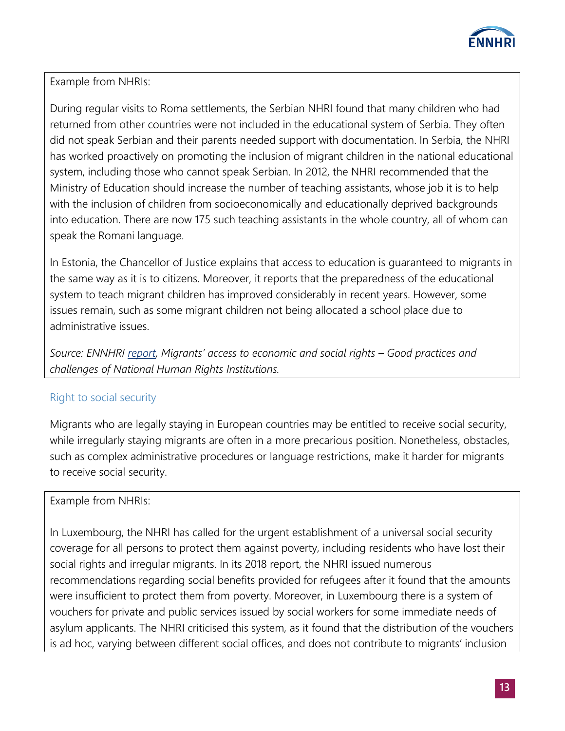

Example from NHRIs:

During regular visits to Roma settlements, the Serbian NHRI found that many children who had returned from other countries were not included in the educational system of Serbia. They often did not speak Serbian and their parents needed support with documentation. In Serbia, the NHRI has worked proactively on promoting the inclusion of migrant children in the national educational system, including those who cannot speak Serbian. In 2012, the NHRI recommended that the Ministry of Education should increase the number of teaching assistants, whose job it is to help with the inclusion of children from socioeconomically and educationally deprived backgrounds into education. There are now 175 such teaching assistants in the whole country, all of whom can speak the Romani language.

In Estonia, the Chancellor of Justice explains that access to education is guaranteed to migrants in the same way as it is to citizens. Moreover, it reports that the preparedness of the educational system to teach migrant children has improved considerably in recent years. However, some issues remain, such as some migrant children not being allocated a school place due to administrative issues.

*Source: ENNHRI [report](http://ennhri.org/wp-content/uploads/2019/11/Migrants%E2%80%99-access-to-economic-and-social-rights-Good-Practices-and-challenges-of-NHRIs.pdf), Migrants' access to economic and social rights – Good practices and challenges of National Human Rights Institutions.*

## Right to social security

Migrants who are legally staying in European countries may be entitled to receive social security, while irregularly staying migrants are often in a more precarious position. Nonetheless, obstacles, such as complex administrative procedures or language restrictions, make it harder for migrants to receive social security.

## Example from NHRIs:

In Luxembourg, the NHRI has called for the urgent establishment of a universal social security coverage for all persons to protect them against poverty, including residents who have lost their social rights and irregular migrants. In its 2018 report, the NHRI issued numerous recommendations regarding social benefits provided for refugees after it found that the amounts were insufficient to protect them from poverty. Moreover, in Luxembourg there is a system of vouchers for private and public services issued by social workers for some immediate needs of asylum applicants. The NHRI criticised this system, as it found that the distribution of the vouchers is ad hoc, varying between different social offices, and does not contribute to migrants' inclusion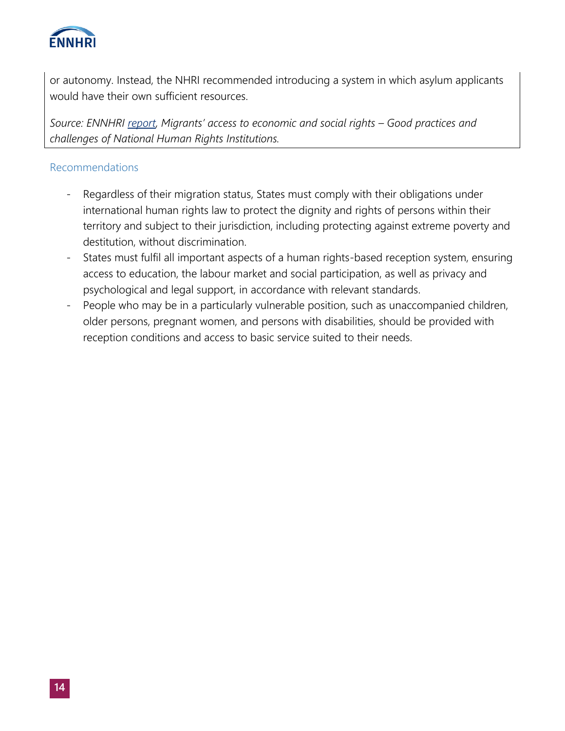

or autonomy. Instead, the NHRI recommended introducing a system in which asylum applicants would have their own sufficient resources.

*Source: ENNHRI [report](http://ennhri.org/wp-content/uploads/2019/11/Migrants%E2%80%99-access-to-economic-and-social-rights-Good-Practices-and-challenges-of-NHRIs.pdf), Migrants' access to economic and social rights – Good practices and challenges of National Human Rights Institutions.*

## Recommendations

- Regardless of their migration status, States must comply with their obligations under international human rights law to protect the dignity and rights of persons within their territory and subject to their jurisdiction, including protecting against extreme poverty and destitution, without discrimination.
- States must fulfil all important aspects of a human rights-based reception system, ensuring access to education, the labour market and social participation, as well as privacy and psychological and legal support, in accordance with relevant standards.
- People who may be in a particularly vulnerable position, such as unaccompanied children, older persons, pregnant women, and persons with disabilities, should be provided with reception conditions and access to basic service suited to their needs.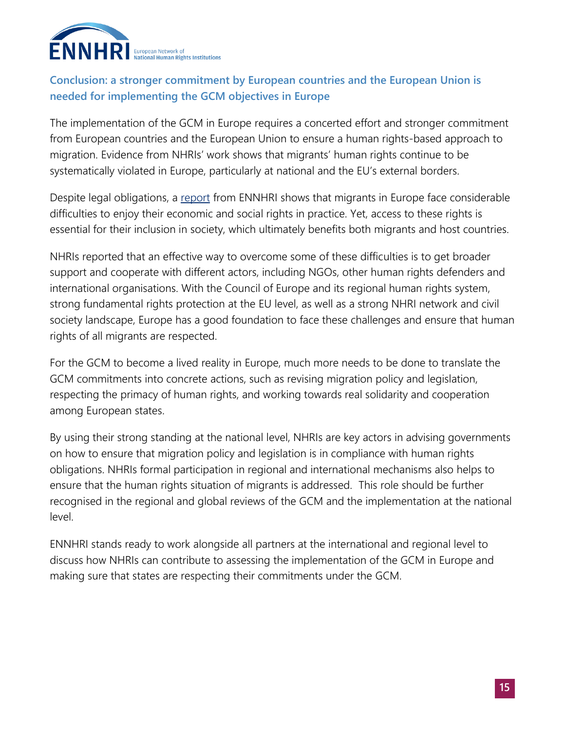

# **Conclusion: a stronger commitment by European countries and the European Union is needed for implementing the GCM objectives in Europe**

The implementation of the GCM in Europe requires a concerted effort and stronger commitment from European countries and the European Union to ensure a human rights-based approach to migration. Evidence from NHRIs' work shows that migrants' human rights continue to be systematically violated in Europe, particularly at national and the EU's external borders.

Despite legal obligations, a [report](http://ennhri.org/wp-content/uploads/2019/11/Migrants%E2%80%99-access-to-economic-and-social-rights-Good-Practices-and-challenges-of-NHRIs.pdf) from ENNHRI shows that migrants in Europe face considerable difficulties to enjoy their economic and social rights in practice. Yet, access to these rights is essential for their inclusion in society, which ultimately benefits both migrants and host countries.

NHRIs reported that an effective way to overcome some of these difficulties is to get broader support and cooperate with different actors, including NGOs, other human rights defenders and international organisations. With the Council of Europe and its regional human rights system, strong fundamental rights protection at the EU level, as well as a strong NHRI network and civil society landscape, Europe has a good foundation to face these challenges and ensure that human rights of all migrants are respected.

For the GCM to become a lived reality in Europe, much more needs to be done to translate the GCM commitments into concrete actions, such as revising migration policy and legislation, respecting the primacy of human rights, and working towards real solidarity and cooperation among European states.

By using their strong standing at the national level, NHRIs are key actors in advising governments on how to ensure that migration policy and legislation is in compliance with human rights obligations. NHRIs formal participation in regional and international mechanisms also helps to ensure that the human rights situation of migrants is addressed. This role should be further recognised in the regional and global reviews of the GCM and the implementation at the national level.

ENNHRI stands ready to work alongside all partners at the international and regional level to discuss how NHRIs can contribute to assessing the implementation of the GCM in Europe and making sure that states are respecting their commitments under the GCM.